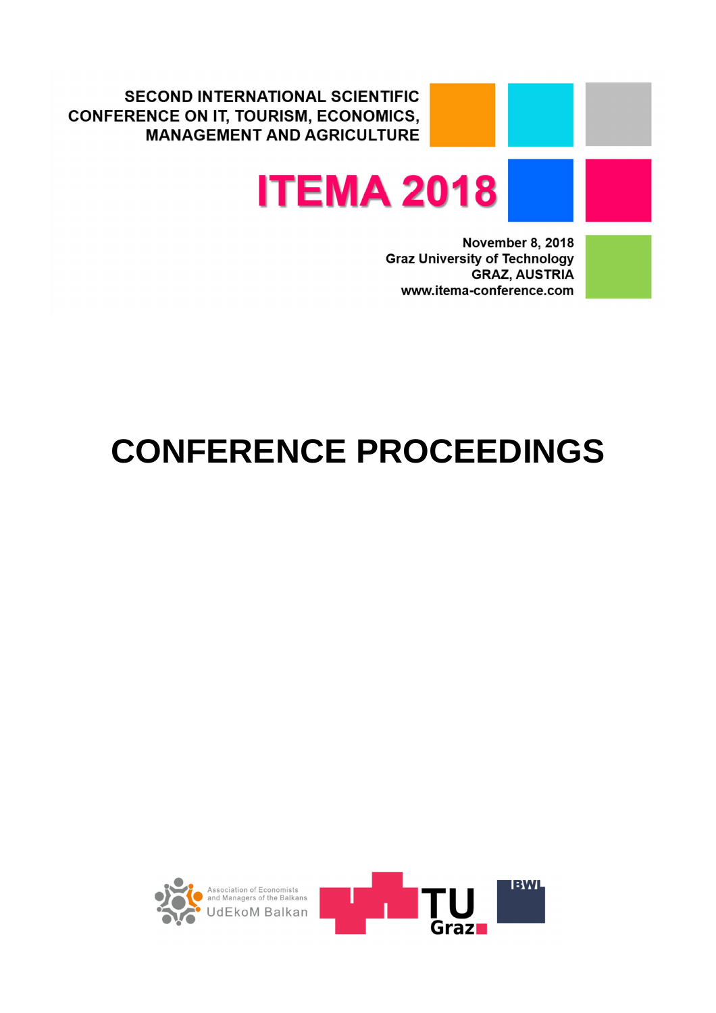**SECOND INTERNATIONAL SCIENTIFIC CONFERENCE ON IT, TOURISM, ECONOMICS, MANAGEMENT AND AGRICULTURE** 



**November 8, 2018 Graz University of Technology GRAZ, AUSTRIA** www.itema-conference.com



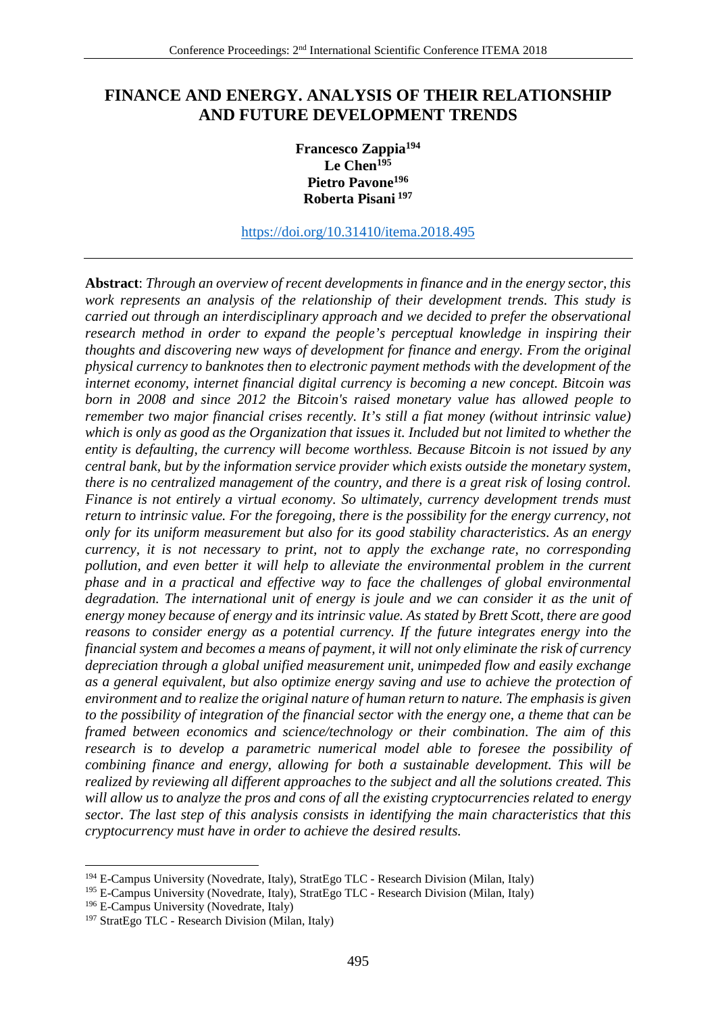## **FINANCE AND ENERGY. ANALYSIS OF THEIR RELATIONSHIP AND FUTURE DEVELOPMENT TRENDS**

**Francesco Zappia<sup>194</sup> Le Chen<sup>195</sup> Pietro Pavone<sup>196</sup> Roberta Pisani<sup>197</sup>**

https://doi.org/10.31410/itema.2018.495

**Abstract**: *Through an overview of recent developments in finance and in the energy sector, this work represents an analysis of the relationship of their development trends. This study is carried out through an interdisciplinary approach and we decided to prefer the observational research method in order to expand the people's perceptual knowledge in inspiring their thoughts and discovering new ways of development for finance and energy. From the original physical currency to banknotes then to electronic payment methods with the development of the internet economy, internet financial digital currency is becoming a new concept. Bitcoin was born in 2008 and since 2012 the Bitcoin's raised monetary value has allowed people to remember two major financial crises recently. It's still a fiat money (without intrinsic value) which is only as good as the Organization that issues it. Included but not limited to whether the entity is defaulting, the currency will become worthless. Because Bitcoin is not issued by any central bank, but by the information service provider which exists outside the monetary system, there is no centralized management of the country, and there is a great risk of losing control. Finance is not entirely a virtual economy. So ultimately, currency development trends must return to intrinsic value. For the foregoing, there is the possibility for the energy currency, not only for its uniform measurement but also for its good stability characteristics. As an energy currency, it is not necessary to print, not to apply the exchange rate, no corresponding pollution, and even better it will help to alleviate the environmental problem in the current phase and in a practical and effective way to face the challenges of global environmental degradation. The international unit of energy is joule and we can consider it as the unit of energy money because of energy and its intrinsic value. As stated by Brett Scott, there are good reasons to consider energy as a potential currency. If the future integrates energy into the financial system and becomes a means of payment, it will not only eliminate the risk of currency depreciation through a global unified measurement unit, unimpeded flow and easily exchange as a general equivalent, but also optimize energy saving and use to achieve the protection of environment and to realize the original nature of human return to nature. The emphasis is given to the possibility of integration of the financial sector with the energy one, a theme that can be framed between economics and science/technology or their combination. The aim of this research is to develop a parametric numerical model able to foresee the possibility of combining finance and energy, allowing for both a sustainable development. This will be realized by reviewing all different approaches to the subject and all the solutions created. This will allow us to analyze the pros and cons of all the existing cryptocurrencies related to energy sector. The last step of this analysis consists in identifying the main characteristics that this cryptocurrency must have in order to achieve the desired results.* 

 $\overline{a}$ 

<sup>194</sup> E-Campus University (Novedrate, Italy), StratEgo TLC - Research Division (Milan, Italy)

<sup>&</sup>lt;sup>195</sup> E-Campus University (Novedrate, Italy), StratEgo TLC - Research Division (Milan, Italy)

<sup>196</sup> E-Campus University (Novedrate, Italy)

<sup>197</sup> StratEgo TLC - Research Division (Milan, Italy)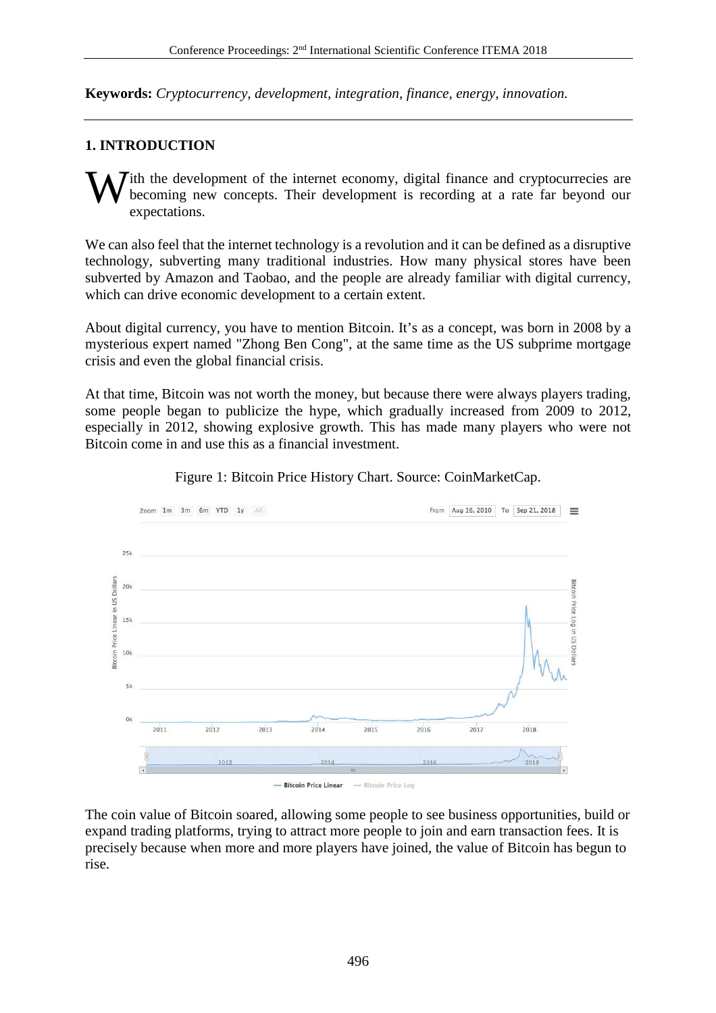**Keywords:** *Cryptocurrency, development, integration, finance, energy, innovation.* 

## **1. INTRODUCTION**

ith the development of the internet economy, digital finance and cryptocurrecies are becoming new concepts. Their development is recording at a rate far beyond our expectations. W

We can also feel that the internet technology is a revolution and it can be defined as a disruptive technology, subverting many traditional industries. How many physical stores have been subverted by Amazon and Taobao, and the people are already familiar with digital currency, which can drive economic development to a certain extent.

About digital currency, you have to mention Bitcoin. It's as a concept, was born in 2008 by a mysterious expert named "Zhong Ben Cong", at the same time as the US subprime mortgage crisis and even the global financial crisis.

At that time, Bitcoin was not worth the money, but because there were always players trading, some people began to publicize the hype, which gradually increased from 2009 to 2012, especially in 2012, showing explosive growth. This has made many players who were not Bitcoin come in and use this as a financial investment.



Figure 1: Bitcoin Price History Chart. Source: CoinMarketCap.

The coin value of Bitcoin soared, allowing some people to see business opportunities, build or expand trading platforms, trying to attract more people to join and earn transaction fees. It is precisely because when more and more players have joined, the value of Bitcoin has begun to rise.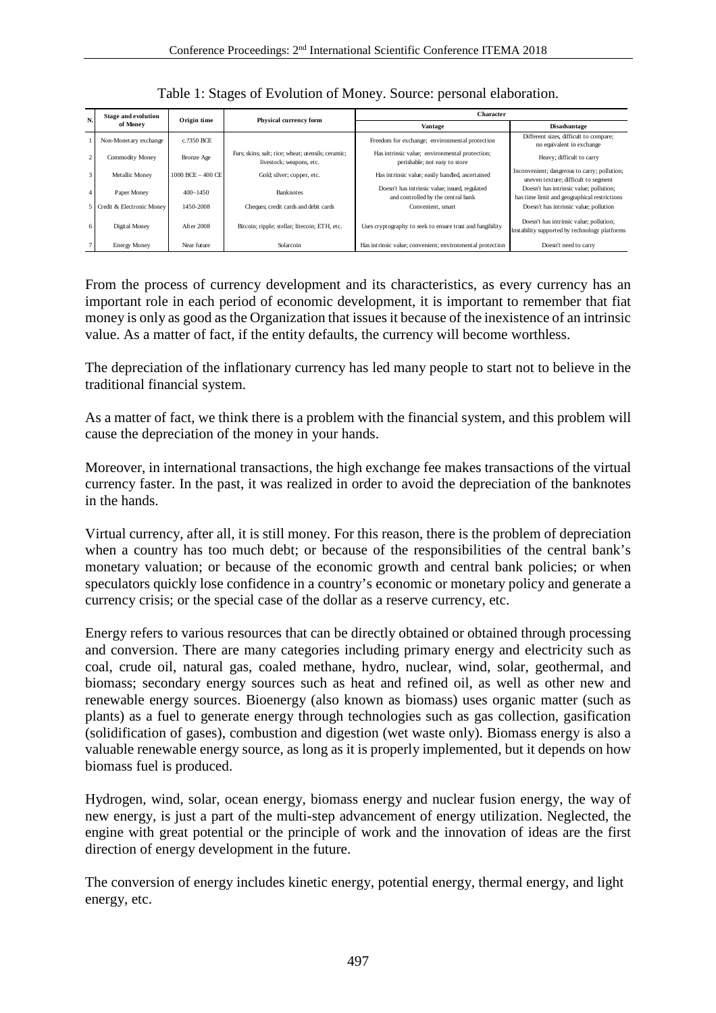| N.             | <b>Stage and evolution</b><br>of Money | Origin time           | Physical currency form                                                         | <b>Character</b>                                                                     |                                                                                          |
|----------------|----------------------------------------|-----------------------|--------------------------------------------------------------------------------|--------------------------------------------------------------------------------------|------------------------------------------------------------------------------------------|
|                |                                        |                       |                                                                                | <b>Vantage</b>                                                                       | <b>Disadvantage</b>                                                                      |
|                | Non-Monetary exchange                  | c.2350 BCE            |                                                                                | Freedom for exchange; environmental protection                                       | Different sizes, difficult to compare;<br>no equivalent in exchange                      |
| $\overline{c}$ | Commodity Money                        | Bronze Age            | Furs; skins; salt; rice; wheat; utensils; ceramic;<br>livestock; weapons, etc. | Has intrinsic value; environmental protection;<br>perishable; not easy to store      | Heavy; difficult to carry                                                                |
| 3 <sup>1</sup> | Metallic Money                         | $1000$ BCE $-$ 400 CE | Gold; silver; copper, etc.                                                     | Has intrinsic value; easily handled, ascertained                                     | Inconvenient; dangerous to carry; pollution;<br>uneven texture; difficult to segment     |
|                | Paper Money                            | $400 - 1450$          | Banknotes                                                                      | Doesn't has intrinsic value; issued, regulated<br>and controlled by the central bank | Doesn't has intrinsic value; pollution;<br>has time limit and geographical restrictions  |
|                | 5 Credit & Electronic Money            | 1450-2008             | Cheques; credit cards and debit cards                                          | Convenient, smart                                                                    | Doesn't has intrinsic value; pollution                                                   |
| 6              | Digital Money                          | After 2008            | Bitcoin; ripple; stellar; litecoin; ETH, etc.                                  | Uses cryptography to seek to ensure trust and fungibility                            | Doesn't has intrinsic value; pollution;<br>Instability supported by technology platforms |
|                | <b>Energy Money</b>                    | Near future           | Solarcoin                                                                      | Has intrinsic value; convenient; environmental protection                            | Doesn't need to carry                                                                    |

Table 1: Stages of Evolution of Money. Source: personal elaboration.

From the process of currency development and its characteristics, as every currency has an important role in each period of economic development, it is important to remember that fiat money is only as good as the Organization that issues it because of the inexistence of an intrinsic value. As a matter of fact, if the entity defaults, the currency will become worthless.

The depreciation of the inflationary currency has led many people to start not to believe in the traditional financial system.

As a matter of fact, we think there is a problem with the financial system, and this problem will cause the depreciation of the money in your hands.

Moreover, in international transactions, the high exchange fee makes transactions of the virtual currency faster. In the past, it was realized in order to avoid the depreciation of the banknotes in the hands.

Virtual currency, after all, it is still money. For this reason, there is the problem of depreciation when a country has too much debt; or because of the responsibilities of the central bank's monetary valuation; or because of the economic growth and central bank policies; or when speculators quickly lose confidence in a country's economic or monetary policy and generate a currency crisis; or the special case of the dollar as a reserve currency, etc.

Energy refers to various resources that can be directly obtained or obtained through processing and conversion. There are many categories including primary energy and electricity such as coal, crude oil, natural gas, coaled methane, hydro, nuclear, wind, solar, geothermal, and biomass; secondary energy sources such as heat and refined oil, as well as other new and renewable energy sources. Bioenergy (also known as biomass) uses organic matter (such as plants) as a fuel to generate energy through technologies such as gas collection, gasification (solidification of gases), combustion and digestion (wet waste only). Biomass energy is also a valuable renewable energy source, as long as it is properly implemented, but it depends on how biomass fuel is produced.

Hydrogen, wind, solar, ocean energy, biomass energy and nuclear fusion energy, the way of new energy, is just a part of the multi-step advancement of energy utilization. Neglected, the engine with great potential or the principle of work and the innovation of ideas are the first direction of energy development in the future.

The conversion of energy includes kinetic energy, potential energy, thermal energy, and light energy, etc.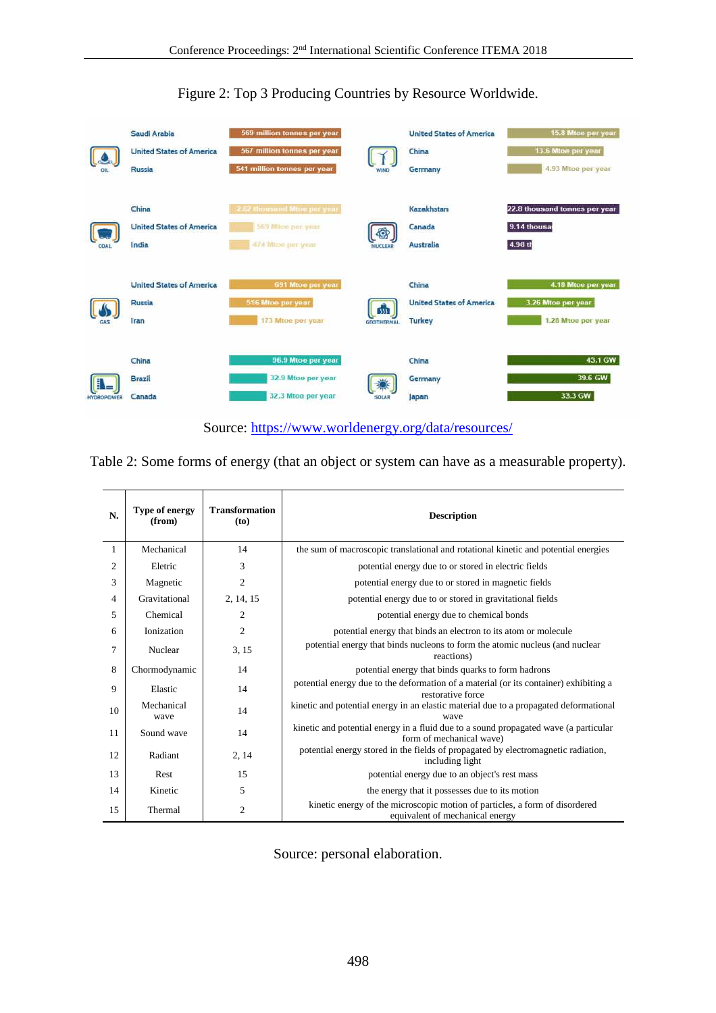

Figure 2: Top 3 Producing Countries by Resource Worldwide.

Table 2: Some forms of energy (that an object or system can have as a measurable property).

| N.             | Type of energy<br>(from) | <b>Transformation</b><br>(to) | <b>Description</b>                                                                                               |
|----------------|--------------------------|-------------------------------|------------------------------------------------------------------------------------------------------------------|
| 1              | Mechanical               | 14                            | the sum of macroscopic translational and rotational kinetic and potential energies                               |
| $\overline{c}$ | Eletric                  | 3                             | potential energy due to or stored in electric fields                                                             |
| 3              | Magnetic                 | 2                             | potential energy due to or stored in magnetic fields                                                             |
| 4              | Gravitational            | 2, 14, 15                     | potential energy due to or stored in gravitational fields                                                        |
| $\overline{5}$ | Chemical                 | $\overline{c}$                | potential energy due to chemical bonds                                                                           |
| 6              | <b>Ionization</b>        | $\overline{c}$                | potential energy that binds an electron to its atom or molecule                                                  |
| 7              | Nuclear                  | 3, 15                         | potential energy that binds nucleons to form the atomic nucleus (and nuclear<br>reactions)                       |
| 8              | Chormodynamic            | 14                            | potential energy that binds quarks to form hadrons                                                               |
| 9              | Elastic                  | 14                            | potential energy due to the deformation of a material (or its container) exhibiting a<br>restorative force       |
| 10             | Mechanical<br>wave       | 14                            | kinetic and potential energy in an elastic material due to a propagated deformational<br>wave                    |
| 11             | Sound wave               | 14                            | kinetic and potential energy in a fluid due to a sound propagated wave (a particular<br>form of mechanical wave) |
| 12             | Radiant                  | 2, 14                         | potential energy stored in the fields of propagated by electromagnetic radiation,<br>including light             |
| 13             | Rest                     | 15                            | potential energy due to an object's rest mass                                                                    |
| 14             | Kinetic                  | 5                             | the energy that it possesses due to its motion                                                                   |
| 15             | Thermal                  | $\overline{c}$                | kinetic energy of the microscopic motion of particles, a form of disordered<br>equivalent of mechanical energy   |

Source: personal elaboration.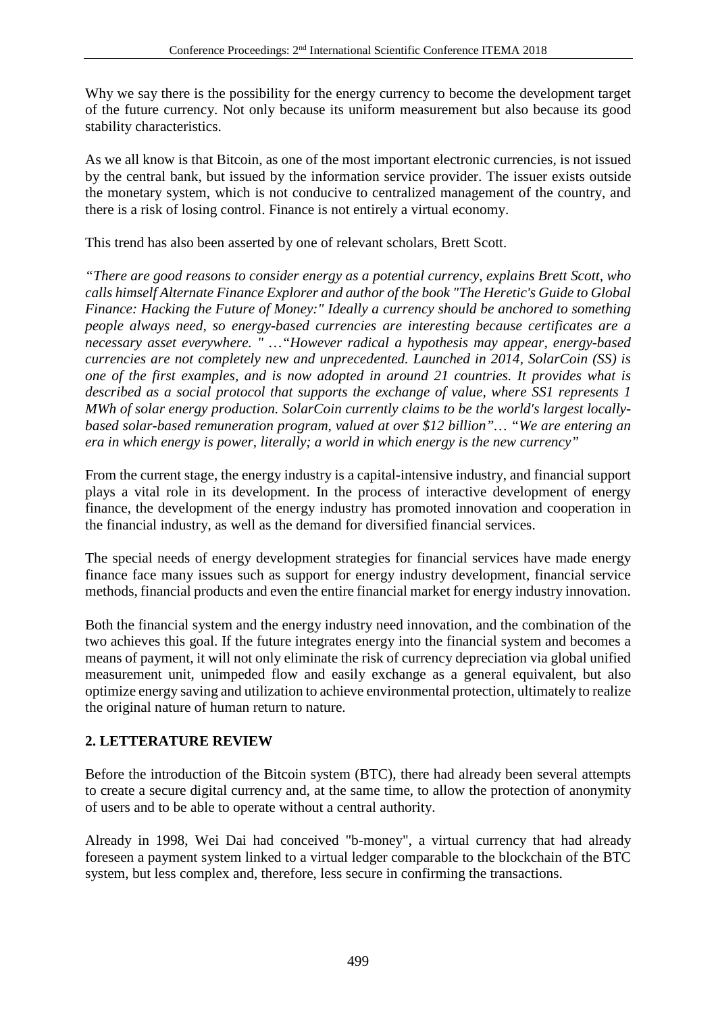Why we say there is the possibility for the energy currency to become the development target of the future currency. Not only because its uniform measurement but also because its good stability characteristics.

As we all know is that Bitcoin, as one of the most important electronic currencies, is not issued by the central bank, but issued by the information service provider. The issuer exists outside the monetary system, which is not conducive to centralized management of the country, and there is a risk of losing control. Finance is not entirely a virtual economy.

This trend has also been asserted by one of relevant scholars, Brett Scott.

*"There are good reasons to consider energy as a potential currency, explains Brett Scott, who calls himself Alternate Finance Explorer and author of the book "The Heretic's Guide to Global Finance: Hacking the Future of Money:" Ideally a currency should be anchored to something people always need, so energy-based currencies are interesting because certificates are a necessary asset everywhere. " …"However radical a hypothesis may appear, energy-based currencies are not completely new and unprecedented. Launched in 2014, SolarCoin (SS) is one of the first examples, and is now adopted in around 21 countries. It provides what is described as a social protocol that supports the exchange of value, where SS1 represents 1 MWh of solar energy production. SolarCoin currently claims to be the world's largest locallybased solar-based remuneration program, valued at over \$12 billion"… "We are entering an era in which energy is power, literally; a world in which energy is the new currency"* 

From the current stage, the energy industry is a capital-intensive industry, and financial support plays a vital role in its development. In the process of interactive development of energy finance, the development of the energy industry has promoted innovation and cooperation in the financial industry, as well as the demand for diversified financial services.

The special needs of energy development strategies for financial services have made energy finance face many issues such as support for energy industry development, financial service methods, financial products and even the entire financial market for energy industry innovation.

Both the financial system and the energy industry need innovation, and the combination of the two achieves this goal. If the future integrates energy into the financial system and becomes a means of payment, it will not only eliminate the risk of currency depreciation via global unified measurement unit, unimpeded flow and easily exchange as a general equivalent, but also optimize energy saving and utilization to achieve environmental protection, ultimately to realize the original nature of human return to nature.

# **2. LETTERATURE REVIEW**

Before the introduction of the Bitcoin system (BTC), there had already been several attempts to create a secure digital currency and, at the same time, to allow the protection of anonymity of users and to be able to operate without a central authority.

Already in 1998, Wei Dai had conceived "b-money", a virtual currency that had already foreseen a payment system linked to a virtual ledger comparable to the blockchain of the BTC system, but less complex and, therefore, less secure in confirming the transactions.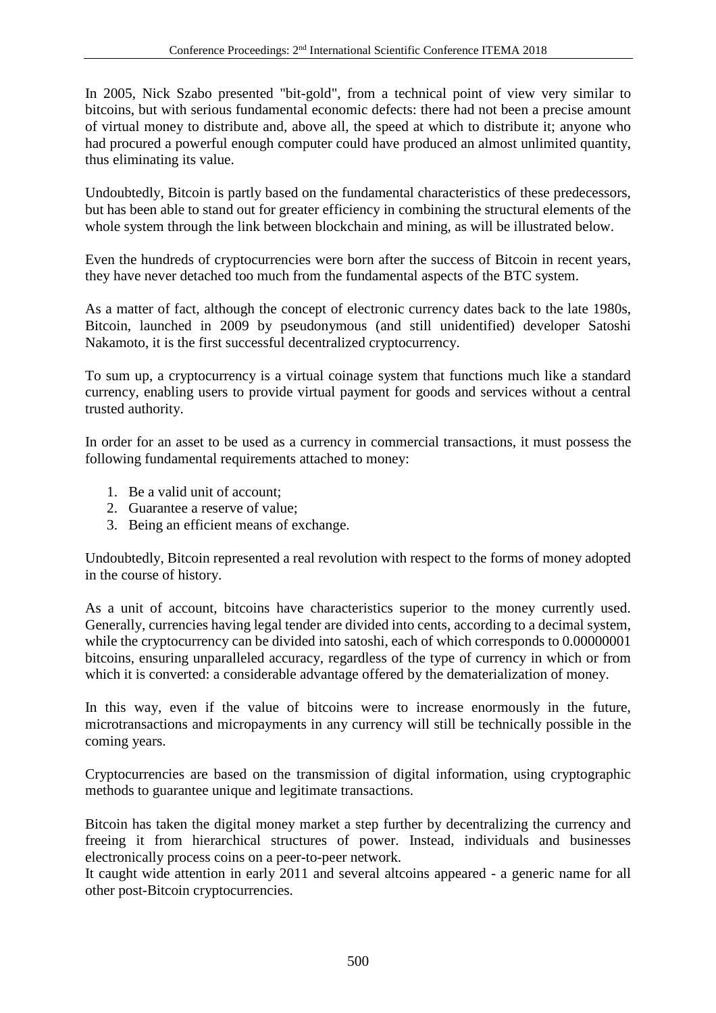In 2005, Nick Szabo presented "bit-gold", from a technical point of view very similar to bitcoins, but with serious fundamental economic defects: there had not been a precise amount of virtual money to distribute and, above all, the speed at which to distribute it; anyone who had procured a powerful enough computer could have produced an almost unlimited quantity, thus eliminating its value.

Undoubtedly, Bitcoin is partly based on the fundamental characteristics of these predecessors, but has been able to stand out for greater efficiency in combining the structural elements of the whole system through the link between blockchain and mining, as will be illustrated below.

Even the hundreds of cryptocurrencies were born after the success of Bitcoin in recent years, they have never detached too much from the fundamental aspects of the BTC system.

As a matter of fact, although the concept of electronic currency dates back to the late 1980s, Bitcoin, launched in 2009 by pseudonymous (and still unidentified) developer Satoshi Nakamoto, it is the first successful decentralized cryptocurrency.

To sum up, a cryptocurrency is a virtual coinage system that functions much like a standard currency, enabling users to provide virtual payment for goods and services without a central trusted authority.

In order for an asset to be used as a currency in commercial transactions, it must possess the following fundamental requirements attached to money:

- 1. Be a valid unit of account;
- 2. Guarantee a reserve of value;
- 3. Being an efficient means of exchange.

Undoubtedly, Bitcoin represented a real revolution with respect to the forms of money adopted in the course of history.

As a unit of account, bitcoins have characteristics superior to the money currently used. Generally, currencies having legal tender are divided into cents, according to a decimal system, while the cryptocurrency can be divided into satoshi, each of which corresponds to  $0.00000001$ bitcoins, ensuring unparalleled accuracy, regardless of the type of currency in which or from which it is converted: a considerable advantage offered by the dematerialization of money.

In this way, even if the value of bitcoins were to increase enormously in the future, microtransactions and micropayments in any currency will still be technically possible in the coming years.

Cryptocurrencies are based on the transmission of digital information, using cryptographic methods to guarantee unique and legitimate transactions.

Bitcoin has taken the digital money market a step further by decentralizing the currency and freeing it from hierarchical structures of power. Instead, individuals and businesses electronically process coins on a peer-to-peer network.

It caught wide attention in early 2011 and several altcoins appeared - a generic name for all other post-Bitcoin cryptocurrencies.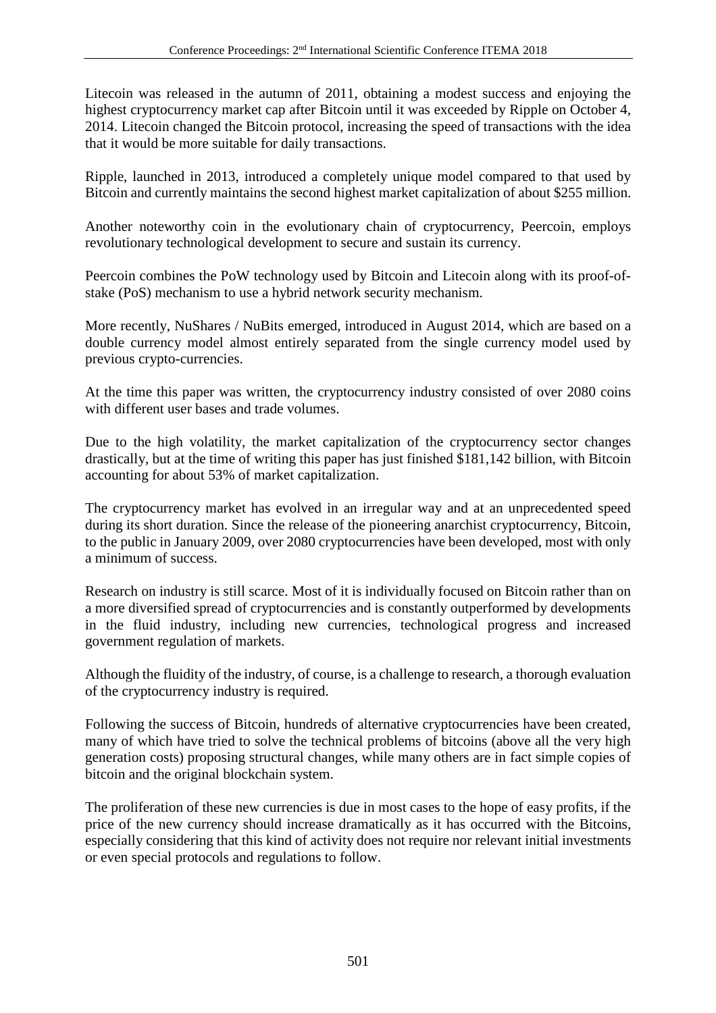Litecoin was released in the autumn of 2011, obtaining a modest success and enjoying the highest cryptocurrency market cap after Bitcoin until it was exceeded by Ripple on October 4, 2014. Litecoin changed the Bitcoin protocol, increasing the speed of transactions with the idea that it would be more suitable for daily transactions.

Ripple, launched in 2013, introduced a completely unique model compared to that used by Bitcoin and currently maintains the second highest market capitalization of about \$255 million.

Another noteworthy coin in the evolutionary chain of cryptocurrency, Peercoin, employs revolutionary technological development to secure and sustain its currency.

Peercoin combines the PoW technology used by Bitcoin and Litecoin along with its proof-ofstake (PoS) mechanism to use a hybrid network security mechanism.

More recently, NuShares / NuBits emerged, introduced in August 2014, which are based on a double currency model almost entirely separated from the single currency model used by previous crypto-currencies.

At the time this paper was written, the cryptocurrency industry consisted of over 2080 coins with different user bases and trade volumes.

Due to the high volatility, the market capitalization of the cryptocurrency sector changes drastically, but at the time of writing this paper has just finished \$181,142 billion, with Bitcoin accounting for about 53% of market capitalization.

The cryptocurrency market has evolved in an irregular way and at an unprecedented speed during its short duration. Since the release of the pioneering anarchist cryptocurrency, Bitcoin, to the public in January 2009, over 2080 cryptocurrencies have been developed, most with only a minimum of success.

Research on industry is still scarce. Most of it is individually focused on Bitcoin rather than on a more diversified spread of cryptocurrencies and is constantly outperformed by developments in the fluid industry, including new currencies, technological progress and increased government regulation of markets.

Although the fluidity of the industry, of course, is a challenge to research, a thorough evaluation of the cryptocurrency industry is required.

Following the success of Bitcoin, hundreds of alternative cryptocurrencies have been created, many of which have tried to solve the technical problems of bitcoins (above all the very high generation costs) proposing structural changes, while many others are in fact simple copies of bitcoin and the original blockchain system.

The proliferation of these new currencies is due in most cases to the hope of easy profits, if the price of the new currency should increase dramatically as it has occurred with the Bitcoins, especially considering that this kind of activity does not require nor relevant initial investments or even special protocols and regulations to follow.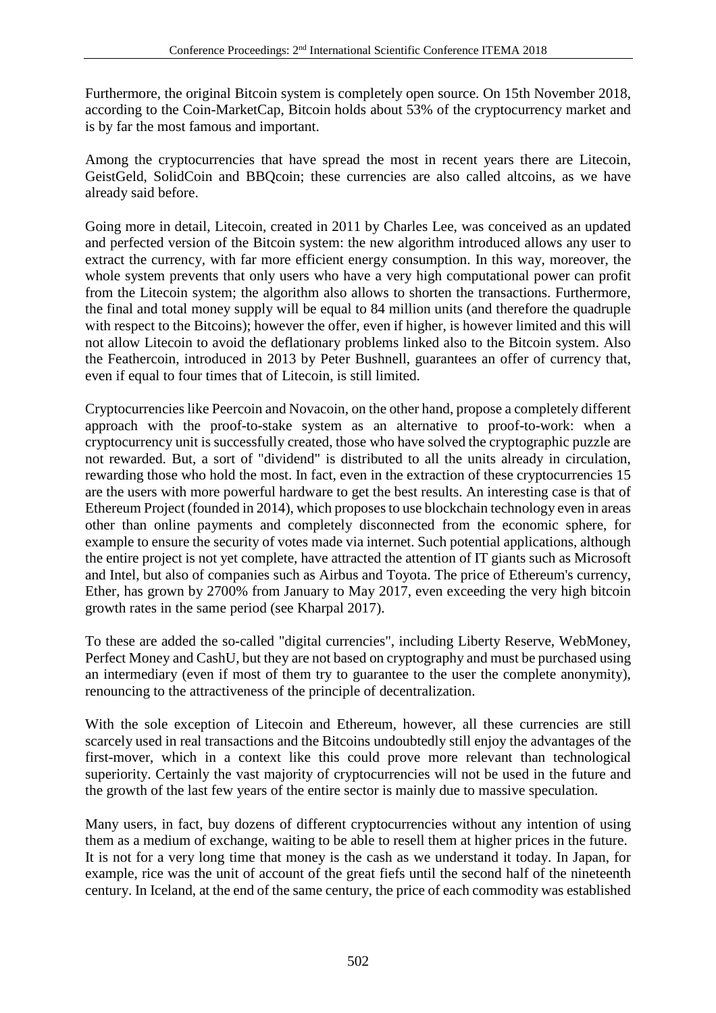Furthermore, the original Bitcoin system is completely open source. On 15th November 2018, according to the Coin-MarketCap, Bitcoin holds about 53% of the cryptocurrency market and is by far the most famous and important.

Among the cryptocurrencies that have spread the most in recent years there are Litecoin, GeistGeld, SolidCoin and BBQcoin; these currencies are also called altcoins, as we have already said before.

Going more in detail, Litecoin, created in 2011 by Charles Lee, was conceived as an updated and perfected version of the Bitcoin system: the new algorithm introduced allows any user to extract the currency, with far more efficient energy consumption. In this way, moreover, the whole system prevents that only users who have a very high computational power can profit from the Litecoin system; the algorithm also allows to shorten the transactions. Furthermore, the final and total money supply will be equal to 84 million units (and therefore the quadruple with respect to the Bitcoins); however the offer, even if higher, is however limited and this will not allow Litecoin to avoid the deflationary problems linked also to the Bitcoin system. Also the Feathercoin, introduced in 2013 by Peter Bushnell, guarantees an offer of currency that, even if equal to four times that of Litecoin, is still limited.

Cryptocurrencies like Peercoin and Novacoin, on the other hand, propose a completely different approach with the proof-to-stake system as an alternative to proof-to-work: when a cryptocurrency unit is successfully created, those who have solved the cryptographic puzzle are not rewarded. But, a sort of "dividend" is distributed to all the units already in circulation, rewarding those who hold the most. In fact, even in the extraction of these cryptocurrencies 15 are the users with more powerful hardware to get the best results. An interesting case is that of Ethereum Project (founded in 2014), which proposes to use blockchain technology even in areas other than online payments and completely disconnected from the economic sphere, for example to ensure the security of votes made via internet. Such potential applications, although the entire project is not yet complete, have attracted the attention of IT giants such as Microsoft and Intel, but also of companies such as Airbus and Toyota. The price of Ethereum's currency, Ether, has grown by 2700% from January to May 2017, even exceeding the very high bitcoin growth rates in the same period (see Kharpal 2017).

To these are added the so-called "digital currencies", including Liberty Reserve, WebMoney, Perfect Money and CashU, but they are not based on cryptography and must be purchased using an intermediary (even if most of them try to guarantee to the user the complete anonymity), renouncing to the attractiveness of the principle of decentralization.

With the sole exception of Litecoin and Ethereum, however, all these currencies are still scarcely used in real transactions and the Bitcoins undoubtedly still enjoy the advantages of the first-mover, which in a context like this could prove more relevant than technological superiority. Certainly the vast majority of cryptocurrencies will not be used in the future and the growth of the last few years of the entire sector is mainly due to massive speculation.

Many users, in fact, buy dozens of different cryptocurrencies without any intention of using them as a medium of exchange, waiting to be able to resell them at higher prices in the future. It is not for a very long time that money is the cash as we understand it today. In Japan, for example, rice was the unit of account of the great fiefs until the second half of the nineteenth century. In Iceland, at the end of the same century, the price of each commodity was established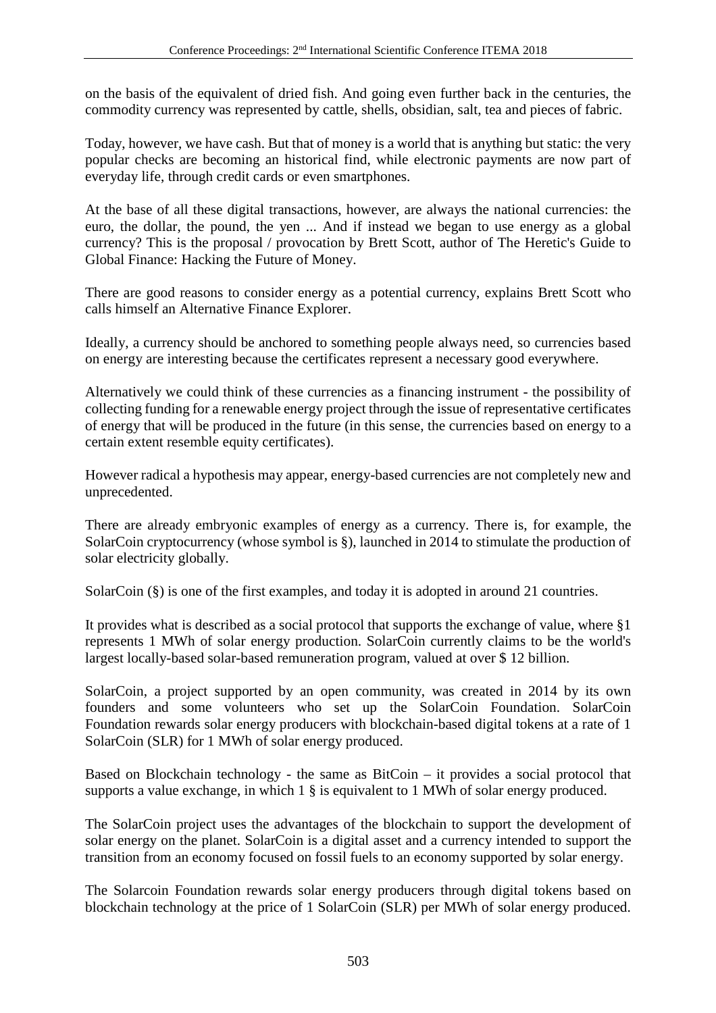on the basis of the equivalent of dried fish. And going even further back in the centuries, the commodity currency was represented by cattle, shells, obsidian, salt, tea and pieces of fabric.

Today, however, we have cash. But that of money is a world that is anything but static: the very popular checks are becoming an historical find, while electronic payments are now part of everyday life, through credit cards or even smartphones.

At the base of all these digital transactions, however, are always the national currencies: the euro, the dollar, the pound, the yen ... And if instead we began to use energy as a global currency? This is the proposal / provocation by Brett Scott, author of The Heretic's Guide to Global Finance: Hacking the Future of Money.

There are good reasons to consider energy as a potential currency, explains Brett Scott who calls himself an Alternative Finance Explorer.

Ideally, a currency should be anchored to something people always need, so currencies based on energy are interesting because the certificates represent a necessary good everywhere.

Alternatively we could think of these currencies as a financing instrument - the possibility of collecting funding for a renewable energy project through the issue of representative certificates of energy that will be produced in the future (in this sense, the currencies based on energy to a certain extent resemble equity certificates).

However radical a hypothesis may appear, energy-based currencies are not completely new and unprecedented.

There are already embryonic examples of energy as a currency. There is, for example, the SolarCoin cryptocurrency (whose symbol is §), launched in 2014 to stimulate the production of solar electricity globally.

SolarCoin (§) is one of the first examples, and today it is adopted in around 21 countries.

It provides what is described as a social protocol that supports the exchange of value, where §1 represents 1 MWh of solar energy production. SolarCoin currently claims to be the world's largest locally-based solar-based remuneration program, valued at over \$ 12 billion.

SolarCoin, a project supported by an open community, was created in 2014 by its own founders and some volunteers who set up the SolarCoin Foundation. SolarCoin Foundation rewards solar energy producers with blockchain-based digital tokens at a rate of 1 SolarCoin (SLR) for 1 MWh of solar energy produced.

Based on Blockchain technology - the same as BitCoin – it provides a social protocol that supports a value exchange, in which 1 § is equivalent to 1 MWh of solar energy produced.

The SolarCoin project uses the advantages of the blockchain to support the development of solar energy on the planet. SolarCoin is a digital asset and a currency intended to support the transition from an economy focused on fossil fuels to an economy supported by solar energy.

The Solarcoin Foundation rewards solar energy producers through digital tokens based on blockchain technology at the price of 1 SolarCoin (SLR) per MWh of solar energy produced.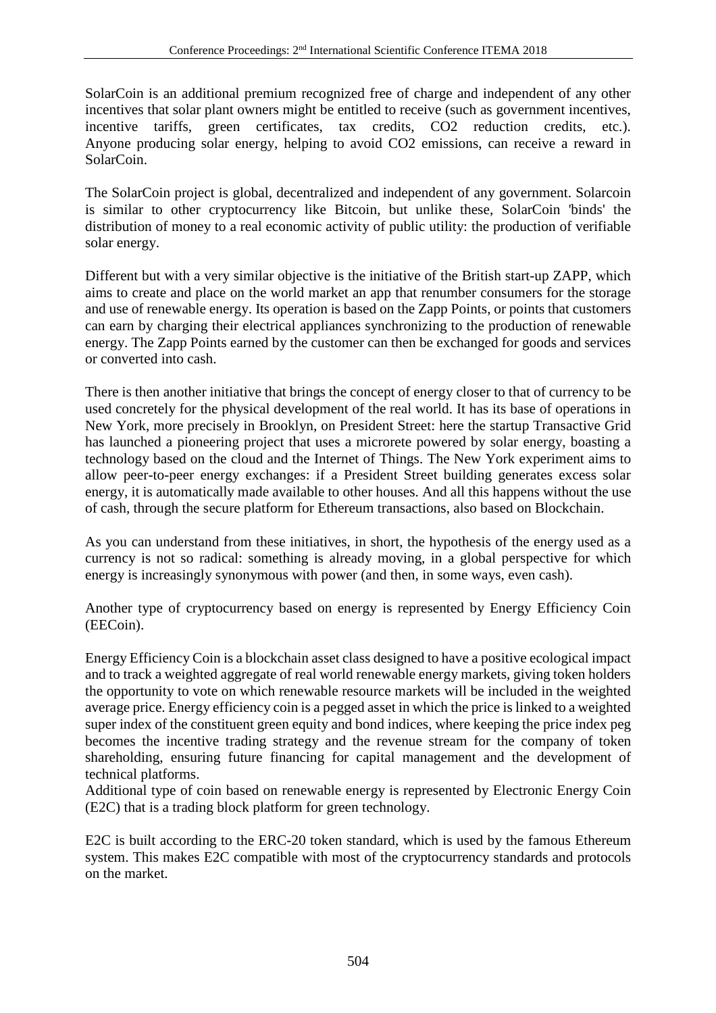SolarCoin is an additional premium recognized free of charge and independent of any other incentives that solar plant owners might be entitled to receive (such as government incentives, incentive tariffs, green certificates, tax credits, CO2 reduction credits, etc.). Anyone producing solar energy, helping to avoid CO2 emissions, can receive a reward in SolarCoin.

The SolarCoin project is global, decentralized and independent of any government. Solarcoin is similar to other cryptocurrency like Bitcoin, but unlike these, SolarCoin 'binds' the distribution of money to a real economic activity of public utility: the production of verifiable solar energy.

Different but with a very similar objective is the initiative of the British start-up ZAPP, which aims to create and place on the world market an app that renumber consumers for the storage and use of renewable energy. Its operation is based on the Zapp Points, or points that customers can earn by charging their electrical appliances synchronizing to the production of renewable energy. The Zapp Points earned by the customer can then be exchanged for goods and services or converted into cash.

There is then another initiative that brings the concept of energy closer to that of currency to be used concretely for the physical development of the real world. It has its base of operations in New York, more precisely in Brooklyn, on President Street: here the startup Transactive Grid has launched a pioneering project that uses a microrete powered by solar energy, boasting a technology based on the cloud and the Internet of Things. The New York experiment aims to allow peer-to-peer energy exchanges: if a President Street building generates excess solar energy, it is automatically made available to other houses. And all this happens without the use of cash, through the secure platform for Ethereum transactions, also based on Blockchain.

As you can understand from these initiatives, in short, the hypothesis of the energy used as a currency is not so radical: something is already moving, in a global perspective for which energy is increasingly synonymous with power (and then, in some ways, even cash).

Another type of cryptocurrency based on energy is represented by Energy Efficiency Coin (EECoin).

Energy Efficiency Coin is a blockchain asset class designed to have a positive ecological impact and to track a weighted aggregate of real world renewable energy markets, giving token holders the opportunity to vote on which renewable resource markets will be included in the weighted average price. Energy efficiency coin is a pegged asset in which the price is linked to a weighted super index of the constituent green equity and bond indices, where keeping the price index peg becomes the incentive trading strategy and the revenue stream for the company of token shareholding, ensuring future financing for capital management and the development of technical platforms.

Additional type of coin based on renewable energy is represented by Electronic Energy Coin (E2C) that is a trading block platform for green technology.

E2C is built according to the ERC-20 token standard, which is used by the famous Ethereum system. This makes E2C compatible with most of the cryptocurrency standards and protocols on the market.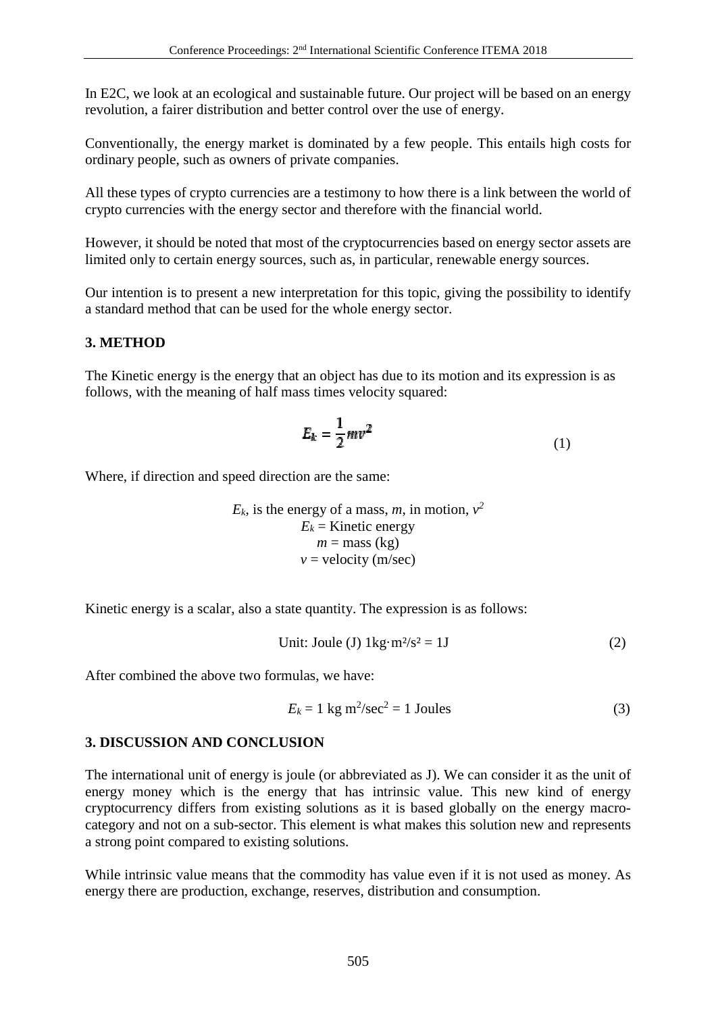In E2C, we look at an ecological and sustainable future. Our project will be based on an energy revolution, a fairer distribution and better control over the use of energy.

Conventionally, the energy market is dominated by a few people. This entails high costs for ordinary people, such as owners of private companies.

All these types of crypto currencies are a testimony to how there is a link between the world of crypto currencies with the energy sector and therefore with the financial world.

However, it should be noted that most of the cryptocurrencies based on energy sector assets are limited only to certain energy sources, such as, in particular, renewable energy sources.

Our intention is to present a new interpretation for this topic, giving the possibility to identify a standard method that can be used for the whole energy sector.

## **3. METHOD**

The Kinetic energy is the energy that an object has due to its motion and its expression is as follows, with the meaning of half mass times velocity squared:

$$
E_k = \frac{1}{2}mv^2\tag{1}
$$

Where, if direction and speed direction are the same:

 $E_k$ , is the energy of a mass, *m*, in motion,  $v^2$  $E_k$  = Kinetic energy  $m =$  mass (kg)  $v =$  velocity (m/sec)

Kinetic energy is a scalar, also a state quantity. The expression is as follows:

Unit: Joule (J) 
$$
1\text{kg} \cdot \text{m}^2/\text{s}^2 = 1\text{J}
$$
 (2)

After combined the above two formulas, we have:

$$
E_k = 1 \text{ kg m}^2/\text{sec}^2 = 1 \text{ Joules}
$$
 (3)

#### **3. DISCUSSION AND CONCLUSION**

The international unit of energy is joule (or abbreviated as J). We can consider it as the unit of energy money which is the energy that has intrinsic value. This new kind of energy cryptocurrency differs from existing solutions as it is based globally on the energy macrocategory and not on a sub-sector. This element is what makes this solution new and represents a strong point compared to existing solutions.

While intrinsic value means that the commodity has value even if it is not used as money. As energy there are production, exchange, reserves, distribution and consumption.